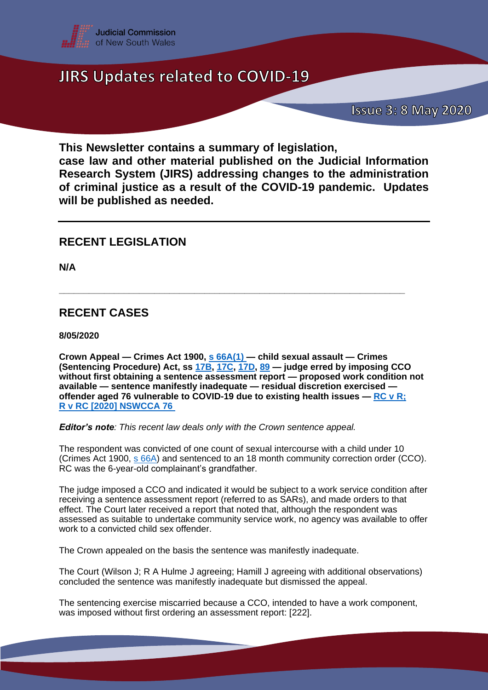

**This Newsletter contains a summary of legislation, case law and other material published on the Judicial Information** 

**Research System (JIRS) addressing changes to the administration of criminal justice as a result of the COVID-19 pandemic. Updates will be published as needed.**

### **RECENT LEGISLATION**

**N/A** 

### **RECENT CASES**

**8/05/2020**

**Crown Appeal — Crimes Act 1900, s [66A\(1\)](https://www.legislation.nsw.gov.au/#/view/act/1900/40/part3/div10/subDiv5/sec66a) — child sexual assault — Crimes (Sentencing Procedure) Act, ss [17B,](https://www.legislation.nsw.gov.au/#/view/act/1999/92/part2/div4b/sec17b) [17C,](https://www.legislation.nsw.gov.au/#/view/act/1999/92/part2/div4b/sec17c) [17D,](https://www.legislation.nsw.gov.au/#/view/act/1999/92/part2/div4b/sec17c) [89](https://www.legislation.nsw.gov.au/#/view/act/1999/92/part7/div3/sec89) — judge erred by imposing CCO without first obtaining a sentence assessment report — proposed work condition not available — sentence manifestly inadequate — residual discretion exercised offender aged 76 vulnerable to COVID-19 due to existing health issues — RC [v R;](http://www.austlii.edu.au/cgi-bin/viewdoc/au/cases/nsw/NSWCCA/2020/76.html)  R v RC [\[2020\] NSWCCA 76](http://www.austlii.edu.au/cgi-bin/viewdoc/au/cases/nsw/NSWCCA/2020/76.html)**

**\_\_\_\_\_\_\_\_\_\_\_\_\_\_\_\_\_\_\_\_\_\_\_\_\_\_\_\_\_\_\_\_\_\_\_\_\_\_\_\_\_\_\_\_\_\_\_\_\_\_\_\_\_\_\_\_\_\_\_\_\_\_\_\_\_\_\_\_\_**

*Editor's note: This recent law deals only with the Crown sentence appeal.*

The respondent was convicted of one count of sexual intercourse with a child under 10 (Crimes Act 1900, s [66A\)](https://www.legislation.nsw.gov.au/#/view/act/1900/40/part3/div10/subDiv5/sec66a) and sentenced to an 18 month community correction order (CCO). RC was the 6-year-old complainant's grandfather.

The judge imposed a CCO and indicated it would be subject to a work service condition after receiving a sentence assessment report (referred to as SARs), and made orders to that effect. The Court later received a report that noted that, although the respondent was assessed as suitable to undertake community service work, no agency was available to offer work to a convicted child sex offender.

The Crown appealed on the basis the sentence was manifestly inadequate.

The Court (Wilson J; R A Hulme J agreeing; Hamill J agreeing with additional observations) concluded the sentence was manifestly inadequate but dismissed the appeal.

The sentencing exercise miscarried because a CCO, intended to have a work component, was imposed without first ordering an assessment report: [222].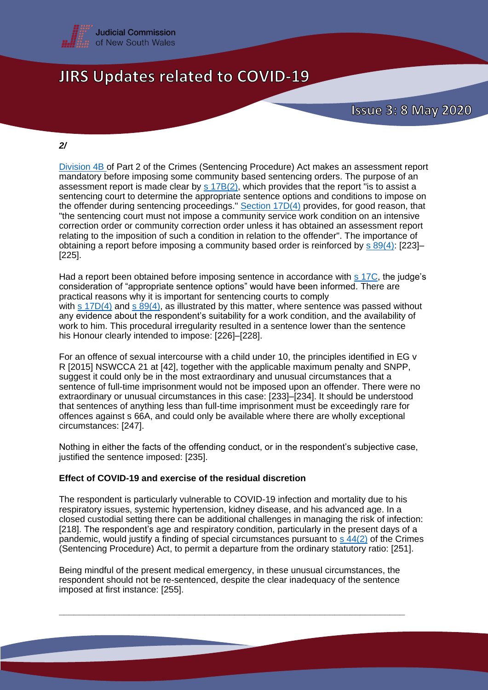

#### *2/*

[Division 4B](https://www.legislation.nsw.gov.au/#/view/act/1999/92/part2/div4b) of Part 2 of the Crimes (Sentencing Procedure) Act makes an assessment report mandatory before imposing some community based sentencing orders. The purpose of an assessment report is made clear by  $s$  17B $(2)$ , which provides that the report "is to assist a sentencing court to determine the appropriate sentence options and conditions to impose on the offender during sentencing proceedings." [Section](https://www.legislation.nsw.gov.au/#/view/act/1999/92/part2/div4b/sec17d) 17D(4) provides, for good reason, that "the sentencing court must not impose a community service work condition on an intensive correction order or community correction order unless it has obtained an assessment report relating to the imposition of such a condition in relation to the offender". The importance of obtaining a report before imposing a community based order is reinforced by  $s$  [89\(4\):](https://www.legislation.nsw.gov.au/#/view/act/1999/92/part7/div3/sec89) [223]-[225].

Had a report been obtained before imposing sentence in accordance with s [17C,](https://www.legislation.nsw.gov.au/#/view/act/1999/92/part2/div4b/sec17c) the judge's consideration of "appropriate sentence options" would have been informed. There are practical reasons why it is important for sentencing courts to comply with s  $17D(4)$  and s  $89(4)$ , as illustrated by this matter, where sentence was passed without any evidence about the respondent's suitability for a work condition, and the availability of work to him. This procedural irregularity resulted in a sentence lower than the sentence his Honour clearly intended to impose: [226]–[228].

For an offence of sexual intercourse with a child under 10, the principles identified in EG v R [2015] NSWCCA 21 at [42], together with the applicable maximum penalty and SNPP, suggest it could only be in the most extraordinary and unusual circumstances that a sentence of full-time imprisonment would not be imposed upon an offender. There were no extraordinary or unusual circumstances in this case: [233]–[234]. It should be understood that sentences of anything less than full-time imprisonment must be exceedingly rare for offences against s 66A, and could only be available where there are wholly exceptional circumstances: [247].

Nothing in either the facts of the offending conduct, or in the respondent's subjective case, justified the sentence imposed: [235].

#### **Effect of COVID-19 and exercise of the residual discretion**

The respondent is particularly vulnerable to COVID-19 infection and mortality due to his respiratory issues, systemic hypertension, kidney disease, and his advanced age. In a closed custodial setting there can be additional challenges in managing the risk of infection: [218]. The respondent's age and respiratory condition, particularly in the present days of a pandemic, would justify a finding of special circumstances pursuant to  $s$  [44\(2\)](https://www.legislation.nsw.gov.au/#/view/act/1999/92/part4/div1/sec44) of the Crimes (Sentencing Procedure) Act, to permit a departure from the ordinary statutory ratio: [251].

Being mindful of the present medical emergency, in these unusual circumstances, the respondent should not be re-sentenced, despite the clear inadequacy of the sentence imposed at first instance: [255].

**\_\_\_\_\_\_\_\_\_\_\_\_\_\_\_\_\_\_\_\_\_\_\_\_\_\_\_\_\_\_\_\_\_\_\_\_\_\_\_\_\_\_\_\_\_\_\_\_\_\_\_\_\_\_\_\_\_\_\_\_\_\_\_\_\_\_\_\_\_**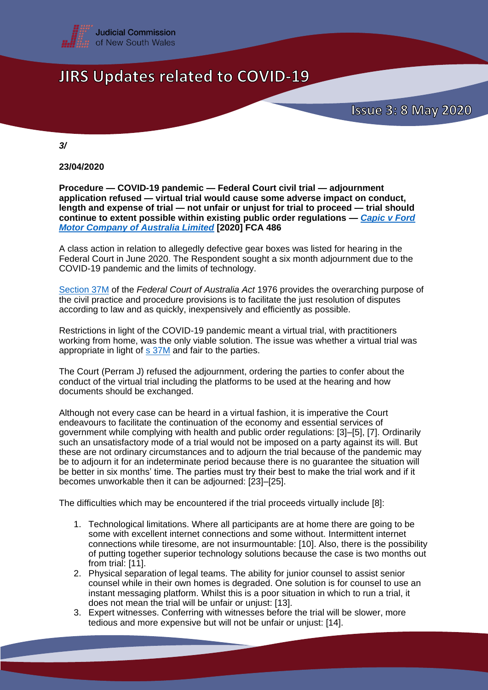

**Issue 3: 8 May 2020** 

*3/*

**23/04/2020**

**Procedure — COVID-19 pandemic — Federal Court civil trial — adjournment application refused — virtual trial would cause some adverse impact on conduct, length and expense of trial — not unfair or unjust for trial to proceed — trial should continue to extent possible within existing public order regulations —** *[Capic v Ford](https://www.judgments.fedcourt.gov.au/judgments/Judgments/fca/single/2020/2020fca0486)  [Motor Company of Australia Limited](https://www.judgments.fedcourt.gov.au/judgments/Judgments/fca/single/2020/2020fca0486)* **[2020] FCA 486**

A class action in relation to allegedly defective gear boxes was listed for hearing in the Federal Court in June 2020. The Respondent sought a six month adjournment due to the COVID-19 pandemic and the limits of technology.

[Section 37M](http://classic.austlii.edu.au/au/legis/cth/consol_act/fcoaa1976249/s37n.html) of the *Federal Court of Australia Act* 1976 provides the overarching purpose of the civil practice and procedure provisions is to facilitate the just resolution of disputes according to law and as quickly, inexpensively and efficiently as possible.

Restrictions in light of the COVID-19 pandemic meant a virtual trial, with practitioners working from home, was the only viable solution. The issue was whether a virtual trial was appropriate in light of s [37M](http://classic.austlii.edu.au/au/legis/cth/consol_act/fcoaa1976249/s37n.html) and fair to the parties.

The Court (Perram J) refused the adjournment, ordering the parties to confer about the conduct of the virtual trial including the platforms to be used at the hearing and how documents should be exchanged.

Although not every case can be heard in a virtual fashion, it is imperative the Court endeavours to facilitate the continuation of the economy and essential services of government while complying with health and public order regulations: [3]–[5], [7]. Ordinarily such an unsatisfactory mode of a trial would not be imposed on a party against its will. But these are not ordinary circumstances and to adjourn the trial because of the pandemic may be to adjourn it for an indeterminate period because there is no guarantee the situation will be better in six months' time. The parties must try their best to make the trial work and if it becomes unworkable then it can be adjourned: [23]–[25].

The difficulties which may be encountered if the trial proceeds virtually include [8]:

- 1. Technological limitations. Where all participants are at home there are going to be some with excellent internet connections and some without. Intermittent internet connections while tiresome, are not insurmountable: [10]. Also, there is the possibility of putting together superior technology solutions because the case is two months out from trial: [11].
- 2. Physical separation of legal teams. The ability for junior counsel to assist senior counsel while in their own homes is degraded. One solution is for counsel to use an instant messaging platform. Whilst this is a poor situation in which to run a trial, it does not mean the trial will be unfair or unjust: [13].
- 3. Expert witnesses. Conferring with witnesses before the trial will be slower, more tedious and more expensive but will not be unfair or unjust: [14].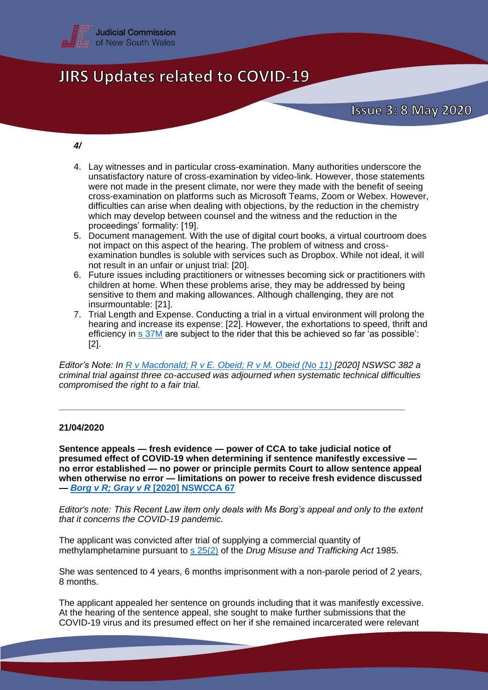

#### *4/*

- 4. Lay witnesses and in particular cross-examination. Many authorities underscore the unsatisfactory nature of cross-examination by video-link. However, those statements were not made in the present climate, nor were they made with the benefit of seeing cross-examination on platforms such as Microsoft Teams, Zoom or Webex. However, difficulties can arise when dealing with objections, by the reduction in the chemistry which may develop between counsel and the witness and the reduction in the proceedings' formality: [19].
- 5. Document management. With the use of digital court books, a virtual courtroom does not impact on this aspect of the hearing. The problem of witness and crossexamination bundles is soluble with services such as Dropbox. While not ideal, it will not result in an unfair or unjust trial: [20].
- 6. Future issues including practitioners or witnesses becoming sick or practitioners with children at home. When these problems arise, they may be addressed by being sensitive to them and making allowances. Although challenging, they are not insurmountable: [21].
- 7. Trial Length and Expense. Conducting a trial in a virtual environment will prolong the hearing and increase its expense: [22]. However, the exhortations to speed, thrift and efficiency in  $s$  [37M](http://classic.austlii.edu.au/au/legis/cth/consol_act/fcoaa1976249/s37n.html) are subject to the rider that this be achieved so far 'as possible': [2].

*Editor's Note: In R v Macdonald; R v E. Obeid; R v [M. Obeid \(No 11\)](http://www.austlii.edu.au/cgi-bin/viewdoc/au/cases/nsw/NSWSC/2020/382.html?_sm_byp=iVV76Lrw3126153s) [2020] NSWSC 382 a criminal trial against three co-accused was adjourned when systematic technical difficulties compromised the right to a fair trial.* 

**\_\_\_\_\_\_\_\_\_\_\_\_\_\_\_\_\_\_\_\_\_\_\_\_\_\_\_\_\_\_\_\_\_\_\_\_\_\_\_\_\_\_\_\_\_\_\_\_\_\_\_\_\_\_\_\_\_\_\_\_\_\_\_\_\_\_\_\_\_**

#### **21/04/2020**

**Sentence appeals — fresh evidence — power of CCA to take judicial notice of presumed effect of COVID-19 when determining if sentence manifestly excessive no error established — no power or principle permits Court to allow sentence appeal when otherwise no error — limitations on power to receive fresh evidence discussed —** *[Borg v R; Gray v R](https://jirs.judcom.nsw.gov.au/nswcca/judgments/2020/2020_NSWCCA_67.html)* **[\[2020\] NSWCCA 67](https://www.caselaw.nsw.gov.au/decision/5e8c12dbe4b0f66047ed8959)**

*Editor's note: This Recent Law item only deals with Ms Borg's appeal and only to the extent that it concerns the COVID-19 pandemic.*

The applicant was convicted after trial of supplying a commercial quantity of methylamphetamine pursuant to s [25\(2\)](https://www.legislation.nsw.gov.au/#/view/act/1985/226/part2/div2/sec25) of the *Drug Misuse and Trafficking Act* 1985.

She was sentenced to 4 years, 6 months imprisonment with a non-parole period of 2 years, 8 months.

The applicant appealed her sentence on grounds including that it was manifestly excessive. At the hearing of the sentence appeal, she sought to make further submissions that the COVID-19 virus and its presumed effect on her if she remained incarcerated were relevant